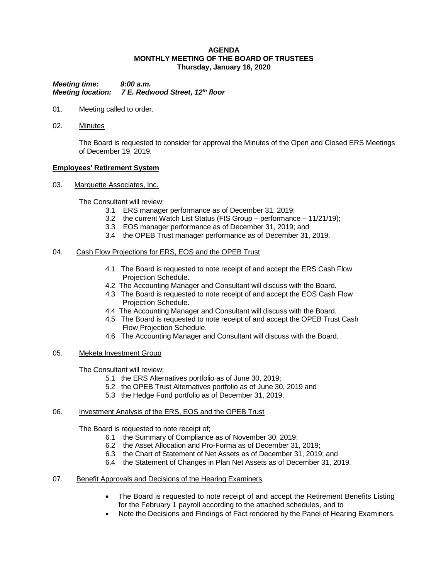### **AGENDA MONTHLY MEETING OF THE BOARD OF TRUSTEES Thursday, January 16, 2020**

*Meeting time: 9:00 a.m. Meeting location: 7 E. Redwood Street, 12th floor*

- 01. Meeting called to order.
- 02. Minutes

The Board is requested to consider for approval the Minutes of the Open and Closed ERS Meetings of December 19, 2019.

## **Employees' Retirement System**

03. Marquette Associates, Inc.

The Consultant will review:

- 3.1 ERS manager performance as of December 31, 2019;
- 3.2 the current Watch List Status (FIS Group performance 11/21/19);
- 3.3 EOS manager performance as of December 31, 2019; and
- 3.4 the OPEB Trust manager performance as of December 31, 2019.

### 04. Cash Flow Projections for ERS, EOS and the OPEB Trust

- 4.1 The Board is requested to note receipt of and accept the ERS Cash Flow Projection Schedule.
- 4.2 The Accounting Manager and Consultant will discuss with the Board.
- 4.3 The Board is requested to note receipt of and accept the EOS Cash Flow Projection Schedule.
- 4.4 The Accounting Manager and Consultant will discuss with the Board.
- 4.5 The Board is requested to note receipt of and accept the OPEB Trust Cash Flow Projection Schedule.
- 4.6 The Accounting Manager and Consultant will discuss with the Board.

## 05. Meketa Investment Group

The Consultant will review:

- 5.1 the ERS Alternatives portfolio as of June 30, 2019;
- 5.2 the OPEB Trust Alternatives portfolio as of June 30, 2019 and
- 5.3 the Hedge Fund portfolio as of December 31, 2019.

### 06. Investment Analysis of the ERS, EOS and the OPEB Trust

The Board is requested to note receipt of;

- 6.1 the Summary of Compliance as of November 30, 2019;
- 6.2 the Asset Allocation and Pro-Forma as of December 31, 2019;
- 6.3 the Chart of Statement of Net Assets as of December 31, 2019; and
- 6.4 the Statement of Changes in Plan Net Assets as of December 31, 2019.
- 07. Benefit Approvals and Decisions of the Hearing Examiners
	- The Board is requested to note receipt of and accept the Retirement Benefits Listing for the February 1 payroll according to the attached schedules, and to
	- Note the Decisions and Findings of Fact rendered by the Panel of Hearing Examiners.